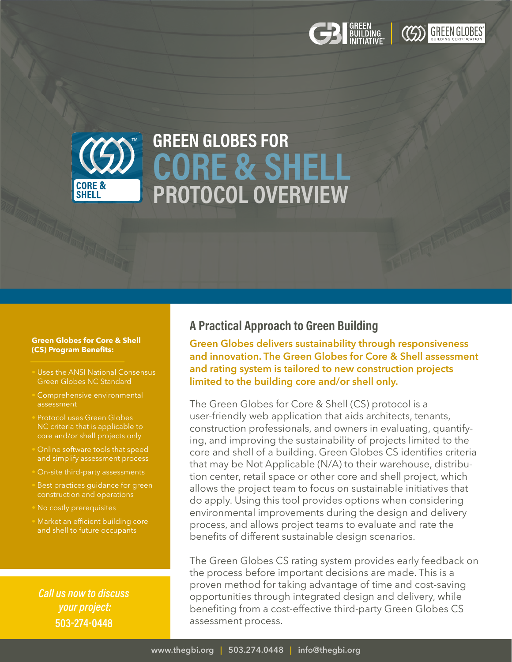### **Green Globes for Core & Shell (CS) Program Benefits:**

- Uses the ANSI National Consensus Green Globes NC Standard
- Comprehensive environmental assessment
- Protocol uses Green Globes NC criteria that is applicable to core and/or shell projects only
- Online software tools that speed and simplify assessment process
- On-site third-party assessments
- Best practices quidance for green construction and operations
- No costly prerequisites
- Market an efficient building core and shell to future occupants

*Call us now to discuss your project:* **503-274-0448** 

## **A Practical Approach to Green Building**

**Green Globes delivers sustainability through responsiveness and innovation. The Green Globes for Core & Shell assessment and rating system is tailored to new construction projects limited to the building core and/or shell only.**

The Green Globes for Core & Shell (CS) protocol is a user-friendly web application that aids architects, tenants, construction professionals, and owners in evaluating, quantifying, and improving the sustainability of projects limited to the core and shell of a building. Green Globes CS identifies criteria that may be Not Applicable (N/A) to their warehouse, distribution center, retail space or other core and shell project, which allows the project team to focus on sustainable initiatives that do apply. Using this tool provides options when considering environmental improvements during the design and delivery process, and allows project teams to evaluate and rate the benefits of different sustainable design scenarios.

The Green Globes CS rating system provides early feedback on the process before important decisions are made. This is a proven method for taking advantage of time and cost-saving opportunities through integrated design and delivery, while benefiting from a cost-effective third-party Green Globes CS assessment process.

# **GREEN GLOBES FOR CORE & SHELL PROTOCOL OVERVIEW**

## GREEN<br>Building<br>Initiative®